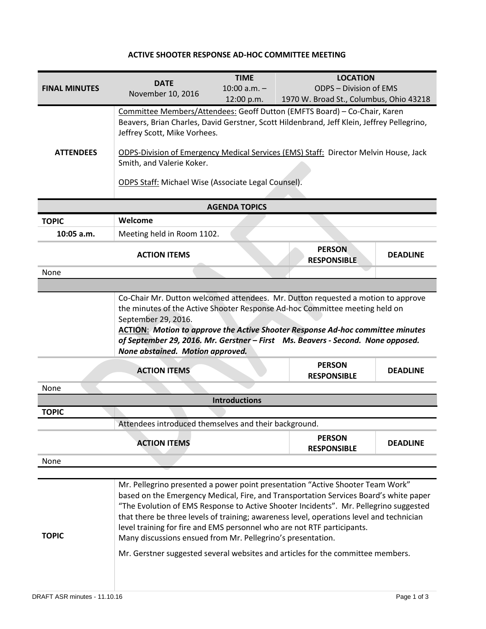## **ACTIVE SHOOTER RESPONSE AD-HOC COMMITTEE MEETING**

| <b>FINAL MINUTES</b> | <b>DATE</b><br>November 10, 2016                                                                                                                                         | <b>TIME</b><br>$10:00$ a.m. $-$<br>12:00 p.m. | <b>LOCATION</b><br><b>ODPS - Division of EMS</b><br>1970 W. Broad St., Columbus, Ohio 43218                                                                                                                                                                                                                                                                                                                                                     |                 |  |
|----------------------|--------------------------------------------------------------------------------------------------------------------------------------------------------------------------|-----------------------------------------------|-------------------------------------------------------------------------------------------------------------------------------------------------------------------------------------------------------------------------------------------------------------------------------------------------------------------------------------------------------------------------------------------------------------------------------------------------|-----------------|--|
|                      | Jeffrey Scott, Mike Vorhees.                                                                                                                                             |                                               | Committee Members/Attendees: Geoff Dutton (EMFTS Board) - Co-Chair, Karen<br>Beavers, Brian Charles, David Gerstner, Scott Hildenbrand, Jeff Klein, Jeffrey Pellegrino,                                                                                                                                                                                                                                                                         |                 |  |
| <b>ATTENDEES</b>     | ODPS-Division of Emergency Medical Services (EMS) Staff: Director Melvin House, Jack<br>Smith, and Valerie Koker.<br>ODPS Staff: Michael Wise (Associate Legal Counsel). |                                               |                                                                                                                                                                                                                                                                                                                                                                                                                                                 |                 |  |
|                      |                                                                                                                                                                          | <b>AGENDA TOPICS</b>                          |                                                                                                                                                                                                                                                                                                                                                                                                                                                 |                 |  |
| <b>TOPIC</b>         | Welcome                                                                                                                                                                  |                                               |                                                                                                                                                                                                                                                                                                                                                                                                                                                 |                 |  |
| 10:05 a.m.           | Meeting held in Room 1102.                                                                                                                                               |                                               |                                                                                                                                                                                                                                                                                                                                                                                                                                                 |                 |  |
|                      | <b>ACTION ITEMS</b>                                                                                                                                                      |                                               | <b>PERSON</b><br><b>RESPONSIBLE</b>                                                                                                                                                                                                                                                                                                                                                                                                             | <b>DEADLINE</b> |  |
| None                 |                                                                                                                                                                          |                                               |                                                                                                                                                                                                                                                                                                                                                                                                                                                 |                 |  |
| None                 | September 29, 2016.<br>None abstained. Motion approved.<br><b>ACTION ITEMS</b>                                                                                           |                                               | <b>ACTION: Motion to approve the Active Shooter Response Ad-hoc committee minutes</b><br>of September 29, 2016. Mr. Gerstner - First Ms. Beavers - Second. None opposed.<br><b>PERSON</b><br><b>RESPONSIBLE</b>                                                                                                                                                                                                                                 | <b>DEADLINE</b> |  |
|                      |                                                                                                                                                                          | <b>Introductions</b>                          |                                                                                                                                                                                                                                                                                                                                                                                                                                                 |                 |  |
| <b>TOPIC</b>         |                                                                                                                                                                          |                                               |                                                                                                                                                                                                                                                                                                                                                                                                                                                 |                 |  |
|                      | Attendees introduced themselves and their background.                                                                                                                    |                                               |                                                                                                                                                                                                                                                                                                                                                                                                                                                 |                 |  |
|                      | <b>ACTION ITEMS</b>                                                                                                                                                      |                                               | <b>PERSON</b><br><b>RESPONSIBLE</b>                                                                                                                                                                                                                                                                                                                                                                                                             | <b>DEADLINE</b> |  |
| None                 |                                                                                                                                                                          |                                               |                                                                                                                                                                                                                                                                                                                                                                                                                                                 |                 |  |
| <b>TOPIC</b>         | level training for fire and EMS personnel who are not RTF participants.<br>Many discussions ensued from Mr. Pellegrino's presentation.                                   |                                               | Mr. Pellegrino presented a power point presentation "Active Shooter Team Work"<br>based on the Emergency Medical, Fire, and Transportation Services Board's white paper<br>"The Evolution of EMS Response to Active Shooter Incidents". Mr. Pellegrino suggested<br>that there be three levels of training; awareness level, operations level and technician<br>Mr. Gerstner suggested several websites and articles for the committee members. |                 |  |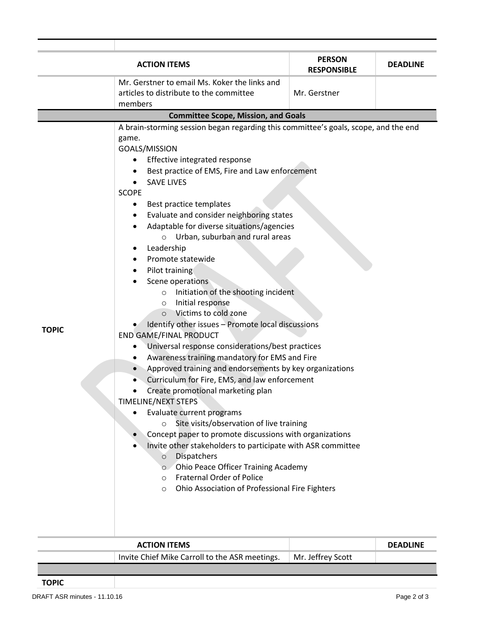| <b>ACTION ITEMS</b>                        |                                                                                                                                                                                                                                                                                                                                                                                                                                                                                                                                                                                                                                                                                                                                                                                                                                                                                                                                                                                                                                                                                                                                                                                                                                                                                                                                                                                                                   | <b>PERSON</b><br><b>RESPONSIBLE</b> | <b>DEADLINE</b> |  |  |  |
|--------------------------------------------|-------------------------------------------------------------------------------------------------------------------------------------------------------------------------------------------------------------------------------------------------------------------------------------------------------------------------------------------------------------------------------------------------------------------------------------------------------------------------------------------------------------------------------------------------------------------------------------------------------------------------------------------------------------------------------------------------------------------------------------------------------------------------------------------------------------------------------------------------------------------------------------------------------------------------------------------------------------------------------------------------------------------------------------------------------------------------------------------------------------------------------------------------------------------------------------------------------------------------------------------------------------------------------------------------------------------------------------------------------------------------------------------------------------------|-------------------------------------|-----------------|--|--|--|
|                                            | Mr. Gerstner to email Ms. Koker the links and                                                                                                                                                                                                                                                                                                                                                                                                                                                                                                                                                                                                                                                                                                                                                                                                                                                                                                                                                                                                                                                                                                                                                                                                                                                                                                                                                                     |                                     |                 |  |  |  |
|                                            | articles to distribute to the committee<br>members                                                                                                                                                                                                                                                                                                                                                                                                                                                                                                                                                                                                                                                                                                                                                                                                                                                                                                                                                                                                                                                                                                                                                                                                                                                                                                                                                                | Mr. Gerstner                        |                 |  |  |  |
| <b>Committee Scope, Mission, and Goals</b> |                                                                                                                                                                                                                                                                                                                                                                                                                                                                                                                                                                                                                                                                                                                                                                                                                                                                                                                                                                                                                                                                                                                                                                                                                                                                                                                                                                                                                   |                                     |                 |  |  |  |
| <b>TOPIC</b>                               | A brain-storming session began regarding this committee's goals, scope, and the end<br>game.<br>GOALS/MISSION<br>Effective integrated response<br>Best practice of EMS, Fire and Law enforcement<br>$\bullet$<br><b>SAVE LIVES</b><br><b>SCOPE</b><br>Best practice templates<br>٠<br>Evaluate and consider neighboring states<br>٠<br>Adaptable for diverse situations/agencies<br>Urban, suburban and rural areas<br>$\circ$<br>Leadership<br>Promote statewide<br>Pilot training<br>Scene operations<br>Initiation of the shooting incident<br>$\circ$<br>Initial response<br>$\circ$<br>Victims to cold zone<br>$\circ$<br>Identify other issues - Promote local discussions<br><b>END GAME/FINAL PRODUCT</b><br>Universal response considerations/best practices<br>Awareness training mandatory for EMS and Fire<br>$\bullet$<br>Approved training and endorsements by key organizations<br>Curriculum for Fire, EMS, and law enforcement<br>Create promotional marketing plan<br>TIMELINE/NEXT STEPS<br>Evaluate current programs<br>Site visits/observation of live training<br>$\circ$<br>Concept paper to promote discussions with organizations<br>Invite other stakeholders to participate with ASR committee<br>Dispatchers<br>$\circ$<br>Ohio Peace Officer Training Academy<br>$\circ$<br><b>Fraternal Order of Police</b><br>$\circ$<br>Ohio Association of Professional Fire Fighters<br>$\circ$ |                                     |                 |  |  |  |

| <b>ACTION ITEMS</b>                            |                   | <b>DEADLINE</b> |
|------------------------------------------------|-------------------|-----------------|
| Invite Chief Mike Carroll to the ASR meetings. | Mr. Jeffrey Scott |                 |
|                                                |                   |                 |
|                                                |                   |                 |